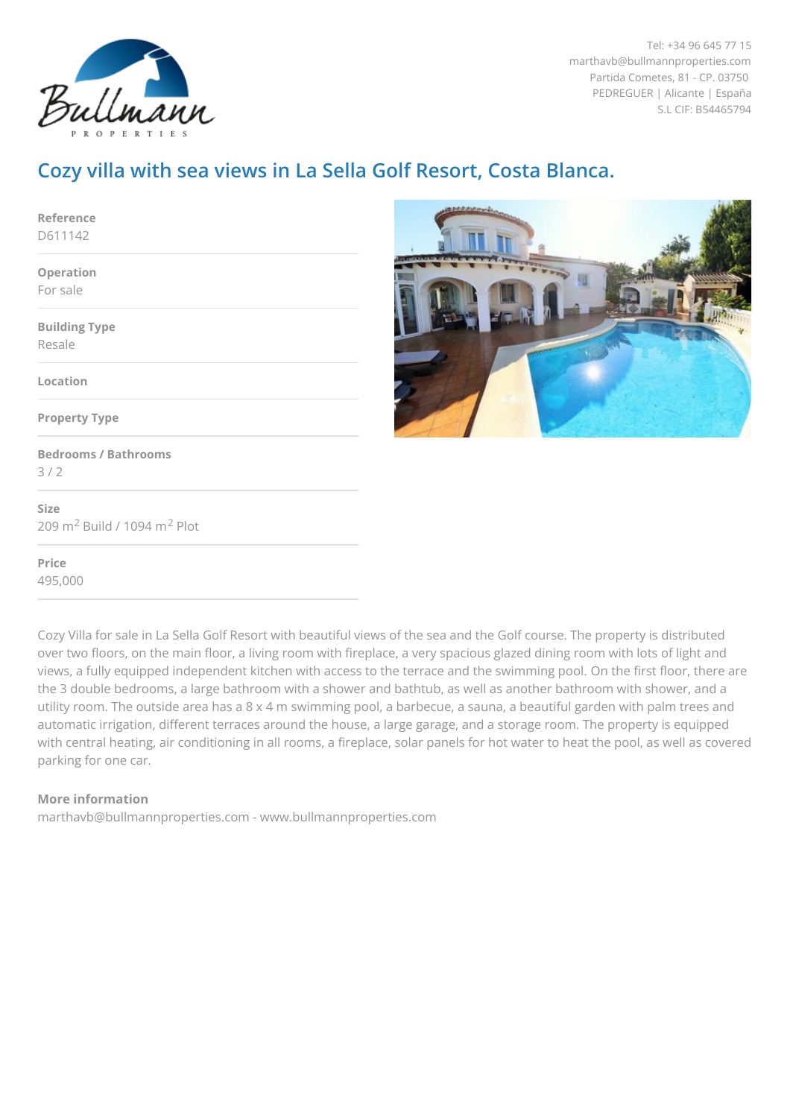

Tel: +34 96 645 77 15 marthavb@bullmannproperties.com Partida Cometes, 81 - CP. 03750 PEDREGUER | Alicante | España S.L CIF: B54465794

## **Cozy villa with sea views in La Sella Golf Resort, Costa Blanca.**

| Reference<br>D611142                                        | <b>University of the Case</b> |
|-------------------------------------------------------------|-------------------------------|
| Operation<br>For sale                                       |                               |
| <b>Building Type</b><br>Resale                              |                               |
| Location                                                    |                               |
| <b>Property Type</b>                                        |                               |
| <b>Bedrooms / Bathrooms</b><br>3/2                          |                               |
| Size<br>209 m <sup>2</sup> Build / 1094 m <sup>2</sup> Plot |                               |
| Price<br>495,000                                            |                               |

Cozy Villa for sale in La Sella Golf Resort with beautiful views of the sea and the Golf course. The property is distributed over two floors, on the main floor, a living room with fireplace, a very spacious glazed dining room with lots of light and views, a fully equipped independent kitchen with access to the terrace and the swimming pool. On the first floor, there are the 3 double bedrooms, a large bathroom with a shower and bathtub, as well as another bathroom with shower, and a utility room. The outside area has a 8 x 4 m swimming pool, a barbecue, a sauna, a beautiful garden with palm trees and automatic irrigation, different terraces around the house, a large garage, and a storage room. The property is equipped with central heating, air conditioning in all rooms, a fireplace, solar panels for hot water to heat the pool, as well as covered parking for one car.

## **More information**

marthavb@bullmannproperties.com - www.bullmannproperties.com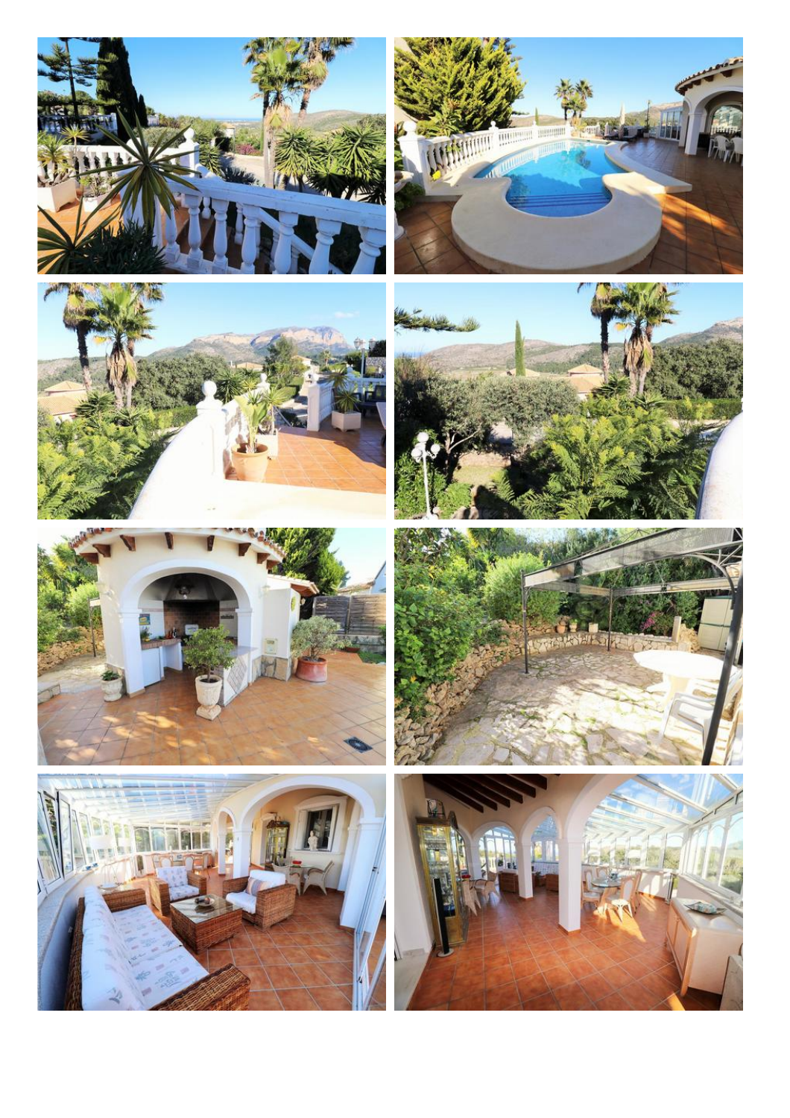













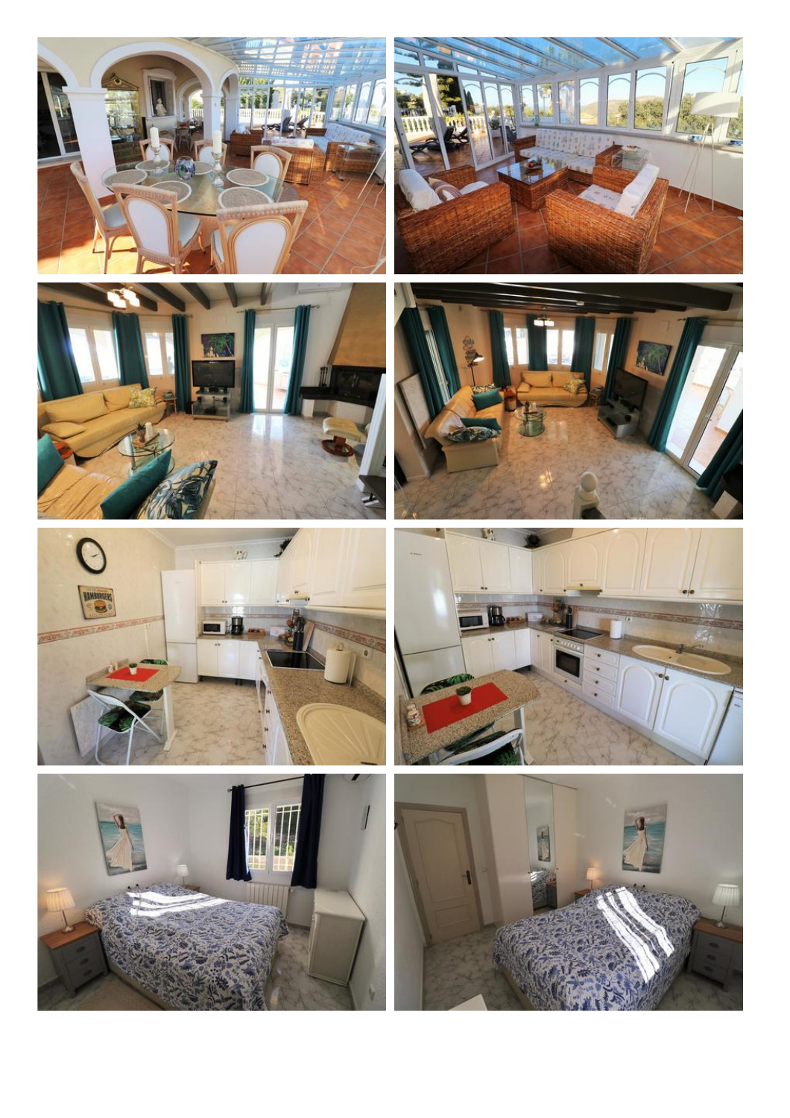